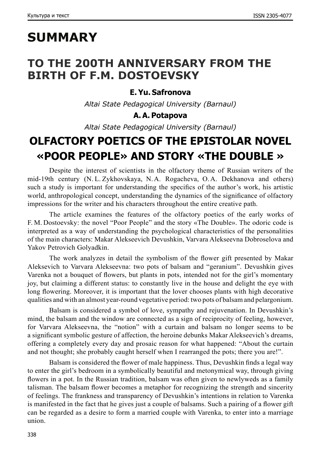# **SUMMARY**

### **TO THE 200TH ANNIVERSARY FROM THE BIRTH OF F.M. DOSTOEVSKY**

### **E.Yu. Safronova**

*Altai State Pedagogical University (Barnaul)*

### **A.A. Potapova**

*Altai State Pedagogical University (Barnaul)*

# **OLFACTORY POETICS OF THE EPISTOLAR NOVEL «POOR PEOPLE» AND STORY «THE DOUBLE »**

Despite the interest of scientists in the olfactory theme of Russian writers of the mid‑19th century (N. L. Zykhovskaya, N.A. Rogacheva, O.A. Dekhanova and others) such a study is important for understanding the specifics of the author's work, his artistic world, anthropological concept, understanding the dynamics of the significance of olfactory impressions for the writer and his characters throughout the entire creative path.

The article examines the features of the olfactory poetics of the early works of F. M. Dostoevsky: the novel "Poor People" and the story «The Double». The odoric code is interpreted as a way of understanding the psychological characteristics of the personalities of the main characters: Makar Alekseevich Devushkin, Varvara Alekseevna Dobroselova and Yakov Petrovich Golyadkin.

The work analyzes in detail the symbolism of the flower gift presented by Makar Aleksevich to Varvara Alekseevna: two pots of balsam and "geranium". Devushkin gives Varenka not a bouquet of flowers, but plants in pots, intended not for the girl's momentary joy, but claiming a different status: to constantly live in the house and delight the eye with long flowering. Moreover, it is important that the lover chooses plants with high decorative qualities and with an almost year-round vegetative period: two pots of balsam and pelargonium.

Balsam is considered a symbol of love, sympathy and rejuvenation. In Devushkin's mind, the balsam and the window are connected as a sign of reciprocity of feeling, however, for Varvara Alekseevna, the "notion" with a curtain and balsam no longer seems to be a significant symbolic gesture of affection, the heroine debunks Makar Alekseevich's dreams, offering a completely every day and prosaic reason for what happened: "About the curtain and not thought; she probably caught herself when I rearranged the pots; there you are!".

Balsam is considered the flower of male happiness. Thus, Devushkin finds a legal way to enter the girl's bedroom in a symbolically beautiful and metonymical way, through giving flowers in a pot. In the Russian tradition, balsam was often given to newlyweds as a family talisman. The balsam flower becomes a metaphor for recognizing the strength and sincerity of feelings. The frankness and transparency of Devushkin's intentions in relation to Varenka is manifested in the fact that he gives just a couple of balsams. Such a pairing of a flower gift can be regarded as a desire to form a married couple with Varenka, to enter into a marriage union.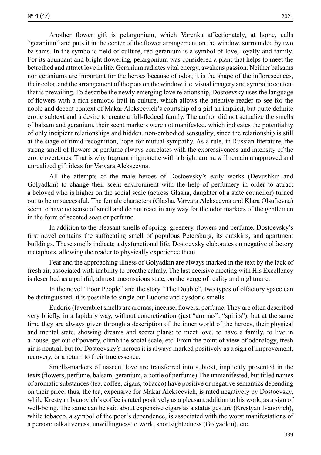Another flower gift is pelargonium, which Varenka affectionately, at home, calls "geranium" and puts it in the center of the flower arrangement on the window, surrounded by two balsams. In the symbolic field of culture, red geranium is a symbol of love, loyalty and family. For its abundant and bright flowering, pelargonium was considered a plant that helps to meet the betrothed and attract love in life. Geranium radiates vital energy, awakens passion. Neither balsams nor geraniums are important for the heroes because of odor; it is the shape of the inflorescences, their color, and the arrangement of the pots on the window, i. e. visual imagery and symbolic content that is prevailing. To describe the newly emerging love relationship, Dostoevsky uses the language of flowers with a rich semiotic trail in culture, which allows the attentive reader to see for the noble and decent context of Makar Alekseevich's courtship of a girl an implicit, but quite definite erotic subtext and a desire to create a full-fledged family. The author did not actualize the smells of balsam and geranium, their scent markers were not manifested, which indicates the potentiality of only incipient relationships and hidden, non-embodied sensuality, since the relationship is still at the stage of timid recognition, hope for mutual sympathy. As a rule, in Russian literature, the strong smell of flowers or perfume always correlates with the expressiveness and intensity of the erotic overtones. That is why fragrant mignonette with a bright aroma will remain unapproved and

All the attempts of the male heroes of Dostoevsky's early works (Devushkin and Golyadkin) to change their scent environment with the help of perfumery in order to attract a beloved who is higher on the social scale (actress Glasha, daughter of a state councilor) turned out to be unsuccessful. The female characters (Glasha, Varvara Alekseevna and Klara Olsufievna) seem to have no sense of smell and do not react in any way for the odor markers of the gentlemen in the form of scented soap or perfume.

unrealized gift ideas for Varvara Alekseevna.

In addition to the pleasant smells of spring, greenery, flowers and perfume, Dostoevsky's first novel contains the suffocating smell of populous Petersburg, its outskirts, and apartment buildings. These smells indicate a dysfunctional life. Dostoevsky elaborates on negative olfactory metaphors, allowing the reader to physically experience them.

Fear and the approaching illness of Golyadkin are always marked in the text by the lack of fresh air, associated with inability to breathe calmly. The last decisive meeting with His Excellency is described as a painful, almost unconscious state, on the verge of reality and nightmare.

In the novel "Poor People" and the story "The Double", two types of olfactory space can be distinguished; it is possible to single out Eudoric and dysdoric smells.

Eudoric (favorable) smells are aromas, incense, flowers, perfume. They are often described very briefly, in a lapidary way, without concretization (just "aromas", "spirits"), but at the same time they are always given through a description of the inner world of the heroes, their physical and mental state, showing dreams and secret plans: to meet love, to have a family, to live in a house, get out of poverty, climb the social scale, etc. From the point of view of odorology, fresh air is neutral, but for Dostoevsky's heroes it is always marked positively as a sign of improvement, recovery, or a return to their true essence.

Smells-markers of nascent love are transferred into subtext, implicitly presented in the texts (flowers, perfume, balsam, geranium, a bottle of perfume).The unmanifested, but titled names of aromatic substances (tea, coffee, cigars, tobacco) have positive or negative semantics depending on their price: thus, the tea, expensive for Makar Alekseevich, is rated negatively by Dostoevsky, while Krestyan Ivanovich's coffee is rated positively as a pleasant addition to his work, as a sign of well-being. The same can be said about expensive cigars as a status gesture (Krestyan Ivanovich), while tobacco, a symbol of the poor's dependence, is associated with the worst manifestations of a person: talkativeness, unwillingness to work, shortsightedness (Golyadkin), etc.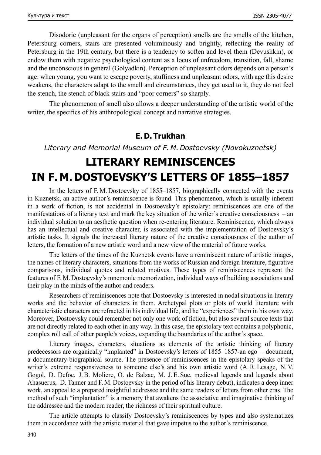Disodoric (unpleasant for the organs of perception) smells are the smells of the kitchen, Petersburg corners, stairs are presented voluminously and brightly, reflecting the reality of Petersburg in the 19th century, but there is a tendency to soften and level them (Devushkin), or endow them with negative psychological content as a locus of unfreedom, transition, fall, shame and the unconscious in general (Golyadkin). Perception of unpleasant odors depends on a person's age: when young, you want to escape poverty, stuffiness and unpleasant odors, with age this desire weakens, the characters adapt to the smell and circumstances, they get used to it, they do not feel the stench, the stench of black stairs and "poor corners" so sharply.

The phenomenon of smell also allows a deeper understanding of the artistic world of the writer, the specifics of his anthropological concept and narrative strategies.

### **E. D. Тrukhan**

*Literary and Memorial Museum of F. M. Dostoevsky (Novokuznetsk)*

# **LITERARY REMINISCENCES IN F. M. DOSTOEVSKY'S LETTERS OF 1855–1857**

In the letters of F. M. Dostoevsky of 1855–1857, biographically connected with the events in Kuznetsk, an active author's reminiscence is found. This phenomenon, which is usually inherent in a work of fiction, is not accidental in Dostoevsky's epistolary: reminiscences are one of the manifestations of a literary text and mark the key situation of the writer's creative consciousness – an individual solution to an aesthetic question when re-entering literature. Reminiscence, which always has an intellectual and creative character, is associated with the implementation of Dostoevsky's artistic tasks. It signals the increased literary nature of the creative consciousness of the author of letters, the formation of a new artistic word and a new view of the material of future works.

The letters of the times of the Kuznetsk events have a reminiscent nature of artistic images, the names of literary characters, situations from the works of Russian and foreign literature, figurative comparisons, individual quotes and related motives. These types of reminiscences represent the features of F. M. Dostoevsky's mnemonic memorization, individual ways of building associations and their play in the minds of the author and readers.

Researchers of reminiscences note that Dostoevsky is interested in nodal situations in literary works and the behavior of characters in them. Archetypal plots or plots of world literature with characteristic characters are refracted in his individual life, and he "experiences" them in his own way. Moreover, Dostoevsky could remember not only one work of fiction, but also several source texts that are not directly related to each other in any way. In this case, the epistolary text contains a polyphonic, complex roll call of other people's voices, expanding the boundaries of the author's space.

Literary images, characters, situations as elements of the artistic thinking of literary predecessors are organically "implanted" in Dostoevsky's letters of 1855–1857‑an ego – document, a documentary-biographical source. The presence of reminiscences in the epistolary speaks of the writer's extreme responsiveness to someone else's and his own artistic word (A.R. Lesage, N. V. Gogol, D. Defoe, J. B. Moliere, O. de Balzac, M. J. E. Sue, medieval legends and legends about Ahasuerus, D. Tanner and F. M. Dostoevsky in the period of his literary debut), indicates a deep inner work, an appeal to a prepared insightful addressee and the same readers of letters from other eras. The method of such "implantation" is a memory that awakens the associative and imaginative thinking of the addressee and the modern reader, the richness of their spiritual culture.

The article attempts to classify Dostoevsky's reminiscences by types and also systematizes them in accordance with the artistic material that gave impetus to the author's reminiscence.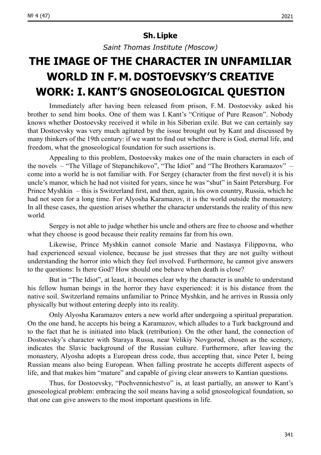#### **Sh. Lipke**

*Saint Thomas Institute (Moscow)*

## **THE IMAGE ОF THE CHARACTER IN UNFAMILIAR WORLD IN F. M. DOSTOEVSKY'S CREATIVE WORK: I.KANT'S GNOSEOLOGICAL QUESTION**

Immediately after having been released from prison, F. M. Dostoevsky asked his brother to send him books. One of them was I. Kant's "Critique of Pure Reason". Nobody knows whether Dostoevsky received it while in his Siberian exile. But we can certainly say that Dostoevsky was very much agitated by the issue brought out by Kant and discussed by many thinkers of the 19th century: if we want to find out whether there is God, eternal life, and freedom, what the gnoseological foundation for such assertions is.

Appealing to this problem, Dostoevsky makes one of the main characters in each of the novels – "The Village of Stepanchikovo", "The Idiot" and "The Brothers Karamazov" – come into a world he is not familiar with. For Sergey (character from the first novel) it is his uncle's manor, which he had not visited for years, since he was "shut" in Saint Petersburg. For Prince Myshkin – this is Switzerland first, and then, again, his own country, Russia, which he had not seen for a long time. For Alyosha Karamazov, it is the world outside the monastery. In all these cases, the question arises whether the character understands the reality of this new world.

Sergey is not able to judge whether his uncle and others are free to choose and whether what they choose is good because their reality remains far from his own.

Likewise, Prince Myshkin cannot console Marie and Nastasya Filippovna, who had experienced sexual violence, because he just stresses that they are not guilty without understanding the horror into which they feel involved. Furthermore, he cannot give answers to the questions: Is there God? How should one behave when death is close?

But in "The Idiot", at least, it becomes clear why the character is unable to understand his fellow human beings in the horror they have experienced: it is his distance from the native soil. Switzerland remains unfamiliar to Prince Myshkin, and he arrives in Russia only physically but without entering deeply into its reality.

Only Alyosha Karamazov enters a new world after undergoing a spiritual preparation. On the one hand, he accepts his being a Karamazov, which alludes to a Turk background and to the fact that he is initiated into black (retribution). On the other hand, the connection of Dostoevsky's character with Staraya Russa, near Velikiy Novgorod, chosen as the scenery, indicates the Slavic background of the Russian culture. Furthermore, after leaving the monastery, Alyosha adopts a European dress code, thus accepting that, since Peter I, being Russian means also being European. When falling prostrate he accepts different aspects of life, and that makes him "mature" and capable of giving clear answers to Kantian questions.

Thus, for Dostoevsky, "Pochvennichestvo" is, at least partially, an answer to Kant's gnoseological problem: embracing the soil means having a solid gnoseological foundation, so that one can give answers to the most important questions in life.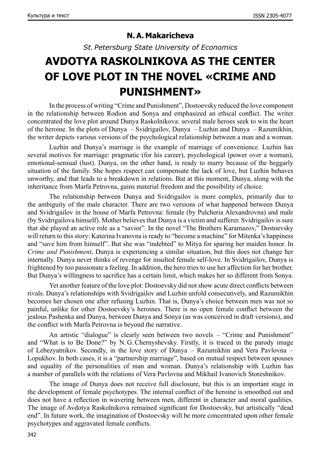### **N.A. Makaricheva**

*St. Petersburg State University of Economics*

## **AVDOTYA RASKOLNIKOVA AS THE CENTER OF LOVE PLOT IN THE NOVEL «CRIME AND PUNISHMENT»**

In the process of writing "Crime and Punishment", Dostoevsky reduced the love component in the relationship between Rodion and Sonya and emphasized an ethical conflict. The writer concentrated the love plot around Dunya Raskolnikova: several male heroes seek to win the heart of the heroine. In the plots of Dunya – Svidrigailov, Dunya – Luzhin and Dunya – Razumikhin, the writer depicts various versions of the psychological relationship between a man and a woman.

Luzhin and Dunya's marriage is the example of marriage of convenience. Luzhin has several motives for marriage: pragmatic (for his career), psychological (power over a woman), emotional-sensual (lust). Dunya, on the other hand, is ready to marry because of the beggarly situation of the family. She hopes respect can compensate the lack of love, but Luzhin behaves unworthy, and that leads to a breakdown in relations. But at this moment, Dunya, along with the inheritance from Marfa Petrovna, gains material freedom and the possibility of choice.

The relationship between Dunya and Svidrigailov is more complex, primarily due to the ambiguity of the male character. There are two versions of what happened between Dunya and Svidrigailov in the house of Marfa Petrovna: female (by Pulcheria Alexandrovna) and male (by Svidrigailova himself). Mother believes that Dunya is a victim and sufferer. Svidrigailov is sure that she played an active role as a "savior". In the novel "The Brothers Karamazov," Dostoevsky will return to this story: Katerina Ivanovna is ready to "become a machine" for Mitenka's happiness and "save him from himself". But she was "indebted" to Mitya for sparing her maiden honor. In *Crime and Punishment*, Dunya is experiencing a similar situation, but this does not change her internally. Dunya never thinks of revenge for insulted female self-love. In Svidrigailov, Dunya is frightened by too passionate a feeling. In addition, the hero tries to use her affection for her brother. But Dunya's willingness to sacrifice has a certain limit, which makes her so different from Sonya.

Yet another feature of the love plot: Dostoevsky did not show acute direct conflicts between rivals. Dunya's relationships with Svidrigailov and Luzhin unfold consecutively, and Razumikhin becomes her chosen one after refusing Luzhin. That is, Dunya's choice between men was not so painful, unlike for other Dostoevsky's heroines. There is no open female conflict between the jealous Pashenka and Dunya, between Dunya and Sonya (as was conceived in draft versions), and the conflict with Marfa Petrovna is beyond the narrative.

An artistic "dialogue" is clearly seen between two novels – "Crime and Punishment" and "What is to Be Done?" by N. G. Chernyshevsky. Firstly, it is traced in the parody image of Lebezyatnikov. Secondly, in the love story of Dunya – Razumikhin and Vera Pavlovna – Lopukhov. In both cases, it is a "partnership marriage", based on mutual respect between spouses and equality of the personalities of man and woman. Dunya's relationship with Luzhin has a number of parallels with the relations of Vera Pavlovna and Mikhail Ivanovich Storeshnikov.

The image of Dunya does not receive full disclosure, but this is an important stage in the development of female psychotypes. The internal conflict of the heroine is smoothed out and does not have a reflection in wavering between men, different in character and moral qualities. The image of Avdotya Raskolnikova remained significant for Dostoevsky, but artistically "dead end". In future work, the imagination of Dostoevsky will be more concentrated upon other female psychotypes and aggravated female conflicts.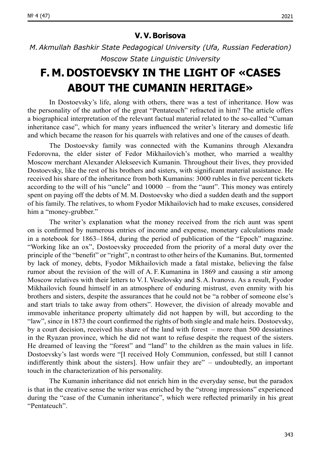*M.Akmullah Bashkir State Pedagogical University (Ufa, Russian Federation) Moscow State Linguistic University*

## **F. M. DOSTOEVSKY IN THE LIGHT OF «CASES ABOUT THE CUMANIN HERITAGE»**

In Dostoevsky's life, along with others, there was a test of inheritance. How was the personality of the author of the great "Pentateuch" refracted in him? The article offers a biographical interpretation of the relevant factual material related to the so-called "Cuman inheritance case", which for many years influenced the writer's literary and domestic life and which became the reason for his quarrels with relatives and one of the causes of death.

The Dostoevsky family was connected with the Kumanins through Alexandra Fedorovna, the elder sister of Fedor Mikhailovich's mother, who married a wealthy Moscow merchant Alexander Alekseevich Kumanin. Throughout their lives, they provided Dostoevsky, like the rest of his brothers and sisters, with significant material assistance. He received his share of the inheritance from both Kumanins: 3000 rubles in five percent tickets according to the will of his "uncle" and 10000 – from the "aunt". This money was entirely spent on paying off the debts of M. M. Dostoevsky who died a sudden death and the support of his family. The relatives, to whom Fyodor Mikhailovich had to make excuses, considered him a "money-grubber."

The writer's explanation what the money received from the rich aunt was spent on is confirmed by numerous entries of income and expense, monetary calculations made in a notebook for 1863–1864, during the period of publication of the "Epoch" magazine. "Working like an ox", Dostoevsky proceeded from the priority of a moral duty over the principle of the "benefit" or "right", n contrast to other heirs of the Kumanins. But, tormented by lack of money, debts, Fyodor Mikhailovich made a fatal mistake, believing the false rumor about the revision of the will of A. F. Kumanina in 1869 and causing a stir among Moscow relatives with their letters to V.I. Veselovsky and S.A. Ivanova. As a result, Fyodor Mikhailovich found himself in an atmosphere of enduring mistrust, even enmity with his brothers and sisters, despite the assurances that he could not be "a robber of someone else's and start trials to take away from others". However, the division of already movable and immovable inheritance property ultimately did not happen by will, but according to the "law", since in 1873 the court confirmed the rights of both single and male heirs. Dostoevsky, by a court decision, received his share of the land with forest – more than 500 dessiatines in the Ryazan province, which he did not want to refuse despite the request of the sisters. He dreamed of leaving the "forest" and "land" to the children as the main values in life. Dostoevsky's last words were "[I received Holy Communion, confessed, but still I cannot indifferently think about the sisters]. How unfair they are" – undoubtedly, an important touch in the characterization of his personality.

The Kumanin inheritance did not enrich him in the everyday sense, but the paradox is that in the creative sense the writer was enriched by the "strong impressions" experienced during the "case of the Cumanin inheritance", which were reflected primarily in his great "Pentateuch".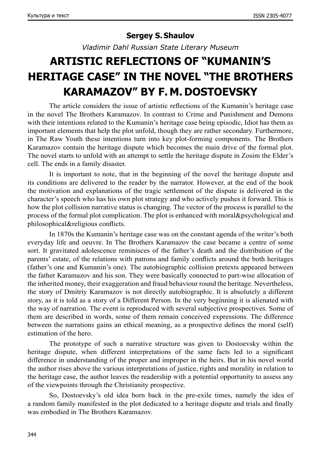### **Sergey S. Shaulov**

*Vladimir Dahl Russian State Literary Museum*

# **ARTISTIC REFLECTIONS OF "KUMANIN'S HERITAGE CASE" IN THE NOVEL "THE BROTHERS KARAMAZOV" BY F. M. DOSTOEVSKY**

The article considers the issue of artistic reflections of the Kumanin's heritage case in the novel The Brothers Karamazov. In contrast to Crime and Punishment and Demons with their intentions related to the Kumanin's heritage case being episodic, Idiot has them as important elements that help the plot unfold, though they are rather secondary. Furthermore, in The Raw Youth these intentions turn into key plot-forming components. The Brothers Karamazov contain the heritage dispute which becomes the main drive of the formal plot. The novel starts to unfold with an attempt to settle the heritage dispute in Zosim the Elder's cell. The ends in a family disaster.

It is important to note, that in the beginning of the novel the heritage dispute and its conditions are delivered to the reader by the narrator. However, at the end of the book the motivation and explanations of the tragic settlement of the dispute is delivered in the character's speech who has his own plot strategy and who actively pushes it forward. This is how the plot collision narrative status is changing. The vector of the process is parallel to the process of the formal plot complication. The plot is enhanced with moral&psychological and philosophical&religious conflicts.

In 1870s the Kumanin's heritage case was on the constant agenda of the writer's both everyday life and oeuvre. In The Brothers Karamazov the case became a centre of some sort. It gravitated adolescence reminisces of the father's death and the distribution of the parents' estate, of the relations with patrons and family conflicts around the both heritages (father's one and Kumanin's one). The autobiographic collision pretexts appeared between the father Karamazov and his son. They were basically connected to part-wise allocation of the inherited money, their exaggeration and fraud behaviour round the heritage. Nevertheless, the story of Dmitriy Karamazov is not directly autobiographic. It is absolutely a different story, as it is told as a story of a Different Person. In the very beginning it is alienated with the way of narration. The event is reproduced with several subjective prospectives. Some of them are described in words, some of them remain conceived expressions. The difference between the narrations gains an ethical meaning, as a prospective defines the moral (self) estimation of the hero.

The prototype of such a narrative structure was given to Dostoevsky within the heritage dispute, when different interpretations of the same facts led to a significant difference in understanding of the proper and improper in the heirs. But in his novel world the author rises above the various interpretations of justice, rights and morality in relation to the heritage case, the author leaves the readership with a potential opportunity to assess any of the viewpoints through the Christianity prospective.

So, Dostoevsky's old idea born back in the pre-exile times, namely the idea of a random family manifested in the plot dedicated to a heritage dispute and trials and finally was embodied in The Brothers Karamazov.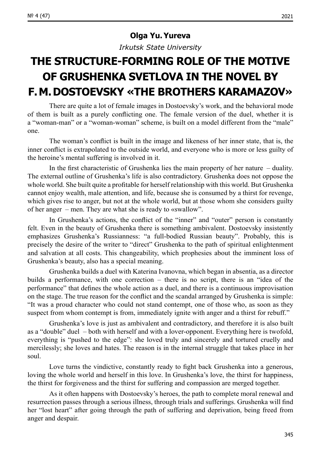### **Olga Yu.Yureva**

*Irkutsk State University*

# **THE STRUCTURE-FORMING ROLE OF THE MOTIVE OF GRUSHENKA SVETLOVA IN THE NOVEL BY F.M.DOSTOEVSKY «THE BROTHERS KARAMAZOV»**

Тhere are quite a lot of female images in Dostoevsky's work, and the behavioral mode of them is built as a purely conflicting one. The female version of the duel, whether it is a "woman-man" or a "woman-woman" scheme, is built on a model different from the "male" one.

The woman's conflict is built in the image and likeness of her inner state, that is, the inner conflict is extrapolated to the outside world, and everyone who is more or less guilty of the heroine's mental suffering is involved in it.

In the first characteristic of Grushenka lies the main property of her nature – duality. The external outline of Grushenka's life is also contradictory. Grushenka does not oppose the whole world. She built quite a profitable for herself relationship with this world. But Grushenka cannot enjoy wealth, male attention, and life, because she is consumed by a thirst for revenge, which gives rise to anger, but not at the whole world, but at those whom she considers guilty of her anger – men. They are what she is ready to «swallow".

In Grushenka's actions, the conflict of the "inner" and "outer" person is constantly felt. Even in the beauty of Grushenka there is something ambivalent. Dostoevsky insistently emphasizes Grushenka's Russianness: "a full-bodied Russian beauty". Probably, this is precisely the desire of the writer to "direct" Grushenka to the path of spiritual enlightenment and salvation at all costs. This changeability, which prophesies about the imminent loss of Grushenka's beauty, also has a special meaning.

Grushenka builds a duel with Katerina Ivanovna, which began in absentia, as a director builds a performance, with one correction – there is no script, there is an "idea of the performance" that defines the whole action as a duel, and there is a continuous improvisation on the stage. The true reason for the conflict and the scandal arranged by Grushenka is simple: "It was a proud character who could not stand contempt, one of those who, as soon as they suspect from whom contempt is from, immediately ignite with anger and a thirst for rebuff."

Grushenka's love is just as ambivalent and contradictory, and therefore it is also built as a "double" duel – both with herself and with a lover-opponent. Everything here is twofold, everything is "pushed to the edge": she loved truly and sincerely and tortured cruelly and mercilessly; she loves and hates. The reason is in the internal struggle that takes place in her soul.

Love turns the vindictive, constantly ready to fight back Grushenka into a generous, loving the whole world and herself in this love. In Grushenka's love, the thirst for happiness, the thirst for forgiveness and the thirst for suffering and compassion are merged together.

As it often happens with Dostoevsky's heroes, the path to complete moral renewal and resurrection passes through a serious illness, through trials and sufferings. Grushenka will find her "lost heart" after going through the path of suffering and deprivation, being freed from anger and despair.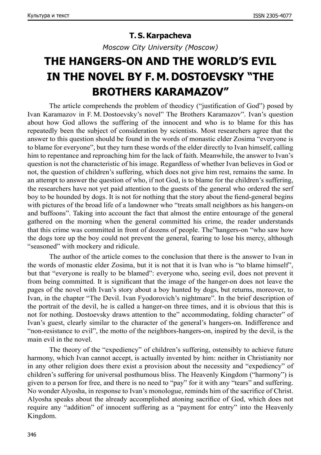### **T. S.Karpacheva**

*Moscow City University (Moscow)*

## **THE HANGERS-ON AND THE WORLD'S EVIL IN THE NOVEL BY F. M. DOSTOEVSKY "THE BROTHERS KARAMAZOV"**

The article comprehends the problem of theodicy ("justification of God") posed by Ivan Karamazov in F. M. Dostoevsky's novel" The Brothers Karamazov". Ivan's question about how God allows the suffering of the innocent and who is to blame for this has repeatedly been the subject of consideration by scientists. Most researchers agree that the answer to this question should be found in the words of monastic elder Zosima "everyone is to blame for everyone", but they turn these words of the elder directly to Ivan himself, calling him to repentance and reproaching him for the lack of faith. Meanwhile, the answer to Ivan's question is not the characteristic of his image. Regardless of whether Ivan believes in God or not, the question of children's suffering, which does not give him rest, remains the same. In an attempt to answer the question of who, if not God, is to blame for the children's suffering, the researchers have not yet paid attention to the guests of the general who ordered the serf boy to be hounded by dogs. It is not for nothing that the story about the fiend-general begins with pictures of the broad life of a landowner who "treats small neighbors as his hangers-on and buffoons". Taking into account the fact that almost the entire entourage of the general gathered on the morning when the general committed his crime, the reader understands that this crime was committed in front of dozens of people. The"hangers-on "who saw how the dogs tore up the boy could not prevent the general, fearing to lose his mercy, although "seasoned" with mockery and ridicule.

The author of the article comes to the conclusion that there is the answer to Ivan in the words of monastic elder Zosima, but it is not that it is Ivan who is "to blame himself", but that "everyone is really to be blamed": everyone who, seeing evil, does not prevent it from being committed. It is significant that the image of the hanger-on does not leave the pages of the novel with Ivan's story about a boy hunted by dogs, but returns, moreover, to Ivan, in the chapter "The Devil. Ivan Fyodorovich's nightmare". In the brief description of the portrait of the devil, he is called a hanger-on three times, and it is obvious that this is not for nothing. Dostoevsky draws attention to the" accommodating, folding character" of Ivan's guest, clearly similar to the character of the general's hangers-on. Indifference and "non-resistance to evil", the motto of the neighbors-hangers-on, inspired by the devil, is the main evil in the novel.

The theory of the "expediency" of children's suffering, ostensibly to achieve future harmony, which Ivan cannot accept, is actually invented by him: neither in Christianity nor in any other religion does there exist a provision about the necessity and "expediency" of children's suffering for universal posthumous bliss. The Heavenly Kingdom ("harmony") is given to a person for free, and there is no need to "pay" for it with any "tears" and suffering. No wonder Alyosha, in response to Ivan's monologue, reminds him of the sacrifice of Christ. Alyosha speaks about the already accomplished atoning sacrifice of God, which does not require any "addition" of innocent suffering as a "payment for entry" into the Heavenly Kingdom.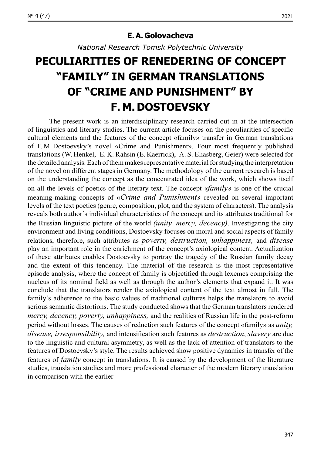#### **Е.А. Golovacheva**

*National Research Tomsk Polytechnic University*

# **PECULIARITIES OF RENEDERING OF CONCEPT "FAMILY" IN GERMAN TRANSLATIONS OF "CRIME AND PUNISHMENT" BY F. M. DOSTOEVSKY**

The present work is an interdisciplinary research carried out in at the intersection of linguistics and literary studies. The current article focuses on the peculiarities of specific cultural elements and the features of the concept «family» transfer in German translations of F. M. Dostoevsky's novel «Crime and Punishment». Four most frequently published translations (W. Henkel, E. K. Rahsin (E. Kaerrick), A. S. Eliasberg, Geier) were selected for the detailed analysis. Each of them makes representative material for studying the interpretation of the novel on different stages in Germany. The methodology of the current research is based on the understanding the concept as the concentrated idea of the work, which shows itself on all the levels of poetics of the literary text. The concept «*family»* is one of the crucial meaning-making concepts of «*Crime and Punishment»* revealed on several important levels of the text poetics (genre, composition, plot, and the system of characters). The analysis reveals both author's individual characteristics of the concept and its attributes traditional for the Russian linguistic picture of the world *(unity, mercy, decency)*. Investigating the city environment and living conditions, Dostoevsky focuses on moral and social aspects of family relations, therefore, such attributes as *poverty, destruction, unhappiness,* and *disease* play an important role in the enrichment of the concept's axiological content. Actualization of these attributes enables Dostoevsky to portray the tragedy of the Russian family decay and the extent of this tendency. The material of the research is the most representative episode analysis, where the concept of family is objectified through lexemes comprising the nucleus of its nominal field as well as through the author's elements that expand it. It was conclude that the translators render the axiological content of the text almost in full. The family's adherence to the basic values of traditional cultures helps the translators to avoid serious semantic distortions. The study conducted shows that the German translators rendered *mercy, decency, poverty, unhappiness,* and the realities of Russian life in the post-reform period without losses. The causes of reduction such features of the concept «family» as *unity, disease, irresponsibility,* and intensification such features as *destruction*, *slavery* are due to the linguistic and cultural asymmetry, as well as the lack of attention of translators to the features of Dostoevsky's style. The results achieved show positive dynamics in transfer of the features of *family* concept in translations. It is caused by the development of the literature studies, translation studies and more professional character of the modern literary translation in comparison with the earlier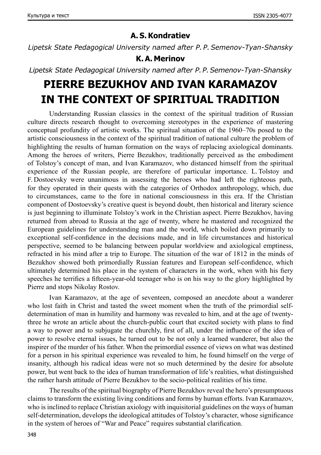### **A. S.Kondratiev**

*Lipetsk State Pedagogical University named after P. P.Semenov-Tyan-Shansky*

### **K.A. Merinov**

*Lipetsk State Pedagogical University named after P.P.Semenov-Tyan-Shansky*

## **PIERRE BEZUKHOV AND IVAN KARAMAZOV IN THE CONTEXT OF SPIRITUAL TRADITION**

Understanding Russian classics in the context of the spiritual tradition of Russian culture directs research thought to overcoming stereotypes in the experience of mastering conceptual profundity of artistic works. The spiritual situation of the 1960–70s posed to the artistic consciousness in the context of the spiritual tradition of national culture the problem of highlighting the results of human formation on the ways of replacing axiological dominants. Among the heroes of writers, Pierre Bezukhov, traditionally perceived as the embodiment of Tolstoy's concept of man, and Ivan Karamazov, who distanced himself from the spiritual experience of the Russian people, are therefore of particular importance. L.Tolstoy and F. Dostoevsky were unanimous in assessing the heroes who had left the righteous path, for they operated in their quests with the categories of Orthodox anthropology, which, due to circumstances, came to the fore in national consciousness in this era. If the Christian component of Dostoevsky's creative quest is beyond doubt, then historical and literary science is just beginning to illuminate Tolstoy's work in the Christian aspect. Pierre Bezukhov, having returned from abroad to Russia at the age of twenty, where he mastered and recognized the European guidelines for understanding man and the world, which boiled down primarily to exceptional self-confidence in the decisions made, and in life circumstances and historical perspective, seemed to be balancing between popular worldview and axiological emptiness, refracted in his mind after a trip to Europe. The situation of the war of 1812 in the minds of Bezukhov showed both primordially Russian features and European self-confidence, which ultimately determined his place in the system of characters in the work, when with his fiery speeches he terrifies a fifteen-year-old teenager who is on his way to the glory highlighted by Pierre and stops Nikolay Rostov.

Ivan Karamazov, at the age of seventeen, composed an anecdote about a wanderer who lost faith in Christ and tasted the sweet moment when the truth of the primordial selfdetermination of man in humility and harmony was revealed to him, and at the age of twentythree he wrote an article about the church-public court that excited society with plans to find a way to power and to subjugate the churchly, first of all, under the influence of the idea of power to resolve eternal issues, he turned out to be not only a learned wanderer, but also the inspirer of the murder of his father. When the primordial essence of views on what was destined for a person in his spiritual experience was revealed to him, he found himself on the verge of insanity, although his radical ideas were not so much determined by the desire for absolute power, but went back to the idea of human transformation of life's realities, what distinguished the rather harsh attitude of Pierre Bezukhov to the socio-political realities of his time.

The results of the spiritual biography of Pierre Bezukhov reveal the hero's presumptuous claims to transform the existing living conditions and forms by human efforts. Ivan Karamazov, who is inclined to replace Christian axiology with inquisitorial guidelines on the ways of human self-determination, develops the ideological attitudes of Tolstoy's character, whose significance in the system of heroes of "War and Peace" requires substantial clarification.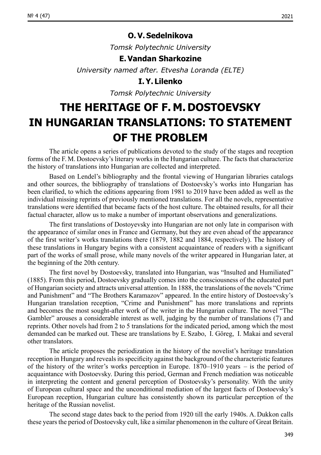### **O.V. Sedelnikova**

*Tomsk Polytechnic University*

#### **E.Vandan Sharkozine**

*University named after. Etvesha Loranda (ELTE)*

**I.Y. Lilenko**

*Tomsk Polytechnic University*

# **THE HERITAGE OF F. M. DOSTOEVSKY IN HUNGARIAN TRANSLATIONS: TO STATEMENT OF THE PROBLEM**

The article opens a series of publications devoted to the study of the stages and reception forms of the F. M. Dostoevsky's literary works in the Hungarian culture. The facts that characterize the history of translations into Hungarian are collected and interpreted.

Based on Lendel's bibliography and the frontal viewing of Hungarian libraries catalogs and other sources, the bibliography of translations of Dostoevsky's works into Hungarian has been clarified, to which the editions appearing from 1981 to 2019 have been added as well as the individual missing reprints of previously mentioned translations. For all the novels, representative translations were identified that became facts of the host culture. The obtained results, for all their factual character, allow us to make a number of important observations and generalizations.

The first translations of Dostoyevsky into Hungarian are not only late in comparison with the appearance of similar ones in France and Germany, but they are even ahead of the appearance of the first writer's works translations there (1879, 1882 and 1884, respectively). The history of these translations in Hungary begins with a consistent acquaintance of readers with a significant part of the works of small prose, while many novels of the writer appeared in Hungarian later, at the beginning of the 20th century.

The first novel by Dostoevsky, translated into Hungarian, was "Insulted and Humiliated" (1885). From this period, Dostoevsky gradually comes into the consciousness of the educated part of Hungarian society and attracts universal attention. In 1888, the translations of the novels "Crime and Punishment" and "The Brothers Karamazov" appeared. In the entire history of Dostoevsky's Hungarian translation reception, "Crime and Punishment" has more translations and reprints and becomes the most sought-after work of the writer in the Hungarian culture. The novel "The Gambler" arouses a considerable interest as well, judging by the number of translations (7) and reprints. Other novels had from 2 to 5 translations for the indicated period, among which the most demanded can be marked out. These are translations by E. Szabo, I. Göreg, I. Makai and several other translators.

The article proposes the periodization in the history of the novelist's heritage translation reception in Hungary and reveals its specificity against the background of the characteristic features of the history of the writer's works perception in Europe.  $1870-1910$  years – is the period of acquaintance with Dostoevsky. During this period, German and French mediation was noticeable in interpreting the content and general perception of Dostoevsky's personality. With the unity of European cultural space and the unconditional mediation of the largest facts of Dostoevsky's European reception, Hungarian culture has consistently shown its particular perception of the heritage of the Russian novelist.

The second stage dates back to the period from 1920 till the early 1940s. A. Dukkon calls these years the period of Dostoevsky cult, like a similar phenomenon in the culture of Great Britain.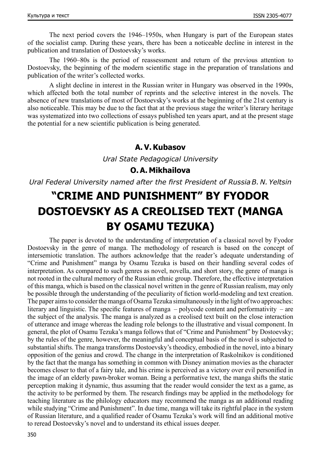The next period covers the 1946–1950s, when Hungary is part of the European states of the socialist camp. During these years, there has been a noticeable decline in interest in the publication and translation of Dostoevsky's works.

The 1960–80s is the period of reassessment and return of the previous attention to Dostoevsky, the beginning of the modern scientific stage in the preparation of translations and publication of the writer's collected works.

A slight decline in interest in the Russian writer in Hungary was observed in the 1990s, which affected both the total number of reprints and the selective interest in the novels. The absence of new translations of most of Dostoevsky's works at the beginning of the 21st century is also noticeable. This may be due to the fact that at the previous stage the writer's literary heritage was systematized into two collections of essays published ten years apart, and at the present stage the potential for a new scientific publication is being generated.

#### **A.V.Kubasov**

*Ural State Pedagogical University*

### **O.A. Mikhailova**

*Ural Federal University named after the first President of RussiaB. N. Yeltsin*

# **"CRIME AND PUNISHMENT" BY FYODOR DOSTOEVSKY AS A CREOLISED TEXT (MANGA BY OSAMU TEZUKA)**

The paper is devoted to the understanding of interpretation of a classical novel by Fyodor Dostoevsky in the genre of manga. The methodology of research is based on the concept of intersemiotic translation. The authors acknowledge that the reader's adequate understanding of "Crime and Punishment" manga by Osamu Tezuka is based on their handling several codes of interpretation. As compared to such genres as novel, novella, and short story, the genre of manga is not rooted in the cultural memory of the Russian ethnic group. Therefore, the effective interpretation of this manga, which is based on the classical novel written in the genre of Russian realism, may only be possible through the understanding of the peculiarity of fiction world-modeling and text creation. The paper aims to consider the manga of Osama Tezuka simultaneously in the light of two approaches: literary and linguistic. The specific features of manga – polycode content and performativity – are the subject of the analysis. The manga is analyzed as a creolised text built on the close interaction of utterance and image whereas the leading role belongs to the illustrative and visual component. In general, the plot of Osamu Tezuka's manga follows that of "Crime and Punishment" by Dostoevsky; by the rules of the genre, however, the meaningful and conceptual basis of the novel is subjected to substantial shifts. The manga transforms Dostoevsky's theodicy, embodied in the novel, into a binary opposition of the genius and crowd. The change in the interpretation of Raskolnikov is conditioned by the fact that the manga has something in common with Disney animation movies as the character becomes closer to that of a fairy tale, and his crime is perceived as a victory over evil personified in the image of an elderly pawn-broker woman. Being a performative text, the manga shifts the static perception making it dynamic, thus assuming that the reader would consider the text as a game, as the activity to be performed by them. The research findings may be applied in the methodology for teaching literature as the philology educators may recommend the manga as an additional reading while studying "Crime and Punishment". In due time, manga will take its rightful place in the system of Russian literature, and a qualified reader of Osamu Tezuka's work will find an additional motive to reread Dostoevsky's novel and to understand its ethical issues deeper.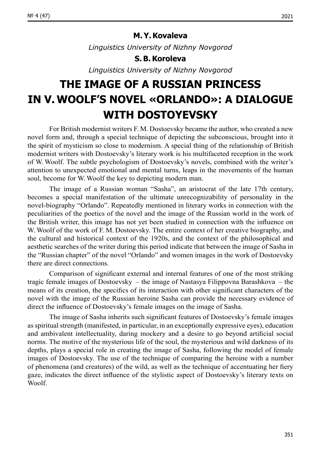*Linguistics University of Nizhny Novgorod*

#### **S.B.Koroleva**

*Linguistics University of Nizhny Novgorod*

# **THE IMAGE OF A RUSSIAN PRINCESS IN V.WOOLF'S NOVEL «ORLANDO»: A DIALOGUE WITH DOSTOYEVSKY**

For British modernist writers F. M. Dostoevsky became the author, who created a new novel form and, through a special technique of depicting the subconscious, brought into it the spirit of mysticism so close to modernism. A special thing of the relationship of British modernist writers with Dostoevsky's literary work is his multifaceted reception in the work of W.Woolf. The subtle psychologism of Dostoevsky's novels, combined with the writer's attention to unexpected emotional and mental turns, leaps in the movements of the human soul, become for W.Woolf the key to depicting modern man.

The image of a Russian woman "Sasha", an aristocrat of the late 17th century, becomes a special manifestation of the ultimate unrecognizability of personality in the novel-biography "Orlando". Repeatedly mentioned in literary works in connection with the peculiarities of the poetics of the novel and the image of the Russian world in the work of the British writer, this image has not yet been studied in connection with the influence on W. Woolf of the work of F. M. Dostoevsky. The entire context of her creative biography, and the cultural and historical context of the 1920s, and the context of the philosophical and aesthetic searches of the writer during this period indicate that between the image of Sasha in the "Russian chapter" of the novel "Orlando" and women images in the work of Dostoevsky there are direct connections.

Comparison of significant external and internal features of one of the most striking tragic female images of Dostoevsky – the image of Nastasya Filippovna Barashkova – the means of its creation, the specifics of its interaction with other significant characters of the novel with the image of the Russian heroine Sasha can provide the necessary evidence of direct the influence of Dostoevsky's female images on the image of Sasha.

The image of Sasha inherits such significant features of Dostoevsky's female images as spiritual strength (manifested, in particular, in an exceptionally expressive eyes), education and ambivalent intellectuality, daring mockery and a desire to go beyond artificial social norms. The motive of the mysterious life of the soul, the mysterious and wild darkness of its depths, plays a special role in creating the image of Sasha, following the model of female images of Dostoevsky. The use of the technique of comparing the heroine with a number of phenomena (and creatures) of the wild, as well as the technique of accentuating her fiery gaze, indicates the direct influence of the stylistic aspect of Dostoevsky's literary texts on **Woolf**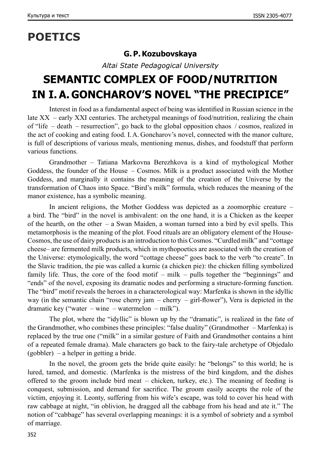# **POETICS**

### **G. P.Kozubovskaya**

*Altai State Pedagogical University*

# **SEMANTIC COMPLEX OF FOOD/NUTRITION IN I.A. GONCHAROV'S NOVEL "THE PRECIPICE"**

Interest in food as a fundamental aspect of being was identified in Russian science in the late XX – early XXI centuries. The archetypal meanings of food/nutrition, realizing the chain of "life – death – resurrection", go back to the global opposition chaos / cosmos, realized in the act of cooking and eating food. I.A. Goncharov's novel, connected with the manor culture, is full of descriptions of various meals, mentioning menus, dishes, and foodstuff that perform various functions.

Grandmother – Tatiana Markovna Berezhkova is a kind of mythological Mother Goddess, the founder of the House – Cosmos. Milk is a product associated with the Mother Goddess, and marginally it contains the meaning of the creation of the Universe by the transformation of Chaos into Space. "Bird's milk" formula, which reduces the meaning of the manor existence, has a symbolic meaning.

In ancient religions, the Mother Goddess was depicted as a zoomorphic creature – a bird. The "bird" in the novel is ambivalent: on the one hand, it is a Chicken as the keeper of the hearth, on the other  $-$  a Swan Maiden, a woman turned into a bird by evil spells. This metamorphosis is the meaning of the plot. Food rituals are an obligatory element of the House-Cosmos, the use of dairy products is an introduction to this Cosmos. "Curdled milk" and "cottage cheese– are fermented milk products, which in mythopoetics are associated with the creation of the Universe: etymologically, the word "cottage cheese" goes back to the verb "to create". In the Slavic tradition, the pie was called a kurnic (a chicken pie): the chicken filling symbolized family life. Thus, the core of the food motif – milk – pulls together the "beginnings" and "ends" of the novel, exposing its dramatic nodes and performing a structure-forming function. The "bird" motif reveals the heroes in a characterological way: Marfenka is shown in the idyllic way (in the semantic chain "rose cherry jam – cherry – girl-flower"), Vera is depicted in the dramatic key ("water – wine – watermelon – milk").

The plot, where the "idyllic" is blown up by the "dramatic", is realized in the fate of the Grandmother, who combines these principles: "false duality" (Grandmother – Marfenka) is replaced by the true one ("milk" in a similar gesture of Faith and Grandmother contains a hint of a repeated female drama). Male characters go back to the fairy-tale archetype of Objedalo (gobbler) – a helper in getting a bride.

In the novel, the groom gets the bride quite easily: he "belongs" to this world; he is lured, tamed, and domestic. (Marfenka is the mistress of the bird kingdom, and the dishes offered to the groom include bird meat – chicken, turkey, etc.). The meaning of feeding is conquest, submission, and demand for sacrifice. The groom easily accepts the role of the victim, enjoying it. Leonty, suffering from his wife's escape, was told to cover his head with raw cabbage at night, "in oblivion, he dragged all the cabbage from his head and ate it." The notion of "c[a](https://translate.google.ru/?hl=ru)bbage" has several overlapping meanings: it is a symbol of sobriety and a symbol of marriage.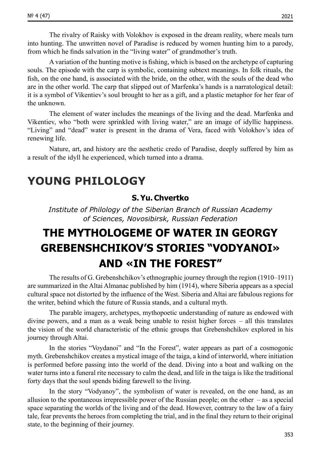[The rivalry of Raisky with Volokhov is exposed in the dream reality, where meals turn](https://translate.google.ru/?hl=ru)  [into hunting. The unwritten novel of Paradise is reduced by women hunting him to a](https://translate.google.ru/?hl=ru) parody, [from which he finds salvation in the "living water" of grandmother's truth.](https://translate.google.ru/?hl=ru)

Avariation of the hunting motive is fishing, which is based on the archetype of capturing souls. The episode with the carp is symbolic, containing subtext meanings. In folk rituals, the fish, on the one hand, is associated with the bride, on the other, with the souls of the dead who are in the other world. The carp that slipped out of Marfenka's hands is a narratological detail: it is a symbol of Vikentiev's soul brought to her as a gift, and a plastic metaphor for her fear of the unknown.

The element of water includes the meanings of the living and the dead. Marfenka and Vikentiev, who "both were sprinkled with living water," are an image of idyllic happiness. "Living" and "dead" water is present in the drama of Vera, faced with Volokhov's idea of renewing life.

Nature, art, and history are the aesthetic credo of Paradise, deeply suffered by him as a result of the idyll he experienced, which turned into a drama.

### **YOUNG PHILOLOGY**

### **S.Yu. Chvertko**

*Institute of Philology of the Siberian Branch of Russian Academy of Sciences, Novosibirsk, Russian Federation*

# **THE MYTHOLOGEME OF WATER IN GEORGY GREBENSHCHIKOV'S STORIES "VODYANOI» AND «IN THE FOREST"**

The results of G. Grebenshchikov's ethnographic journey through the region (1910–1911) are summarized in the Altai Almanac published by him (1914), where Siberia appears as a special cultural space not distorted by the influence of the West. Siberia and Altai are fabulous regions for the writer, behind which the future of Russia stands, and a cultural myth.

The parable imagery, archetypes, mythopoetic understanding of nature as endowed with divine powers, and a man as a weak being unable to resist higher forces – all this translates the vision of the world characteristic of the ethnic groups that Grebenshchikov explored in his journey through Altai.

In the stories "Voydanoi" and "In the Forest", water appears as part of a cosmogonic myth. Grebenshchikov creates a mystical image of the taiga, a kind of interworld, where initiation is performed before passing into the world of the dead. Diving into a boat and walking on the water turns into a funeral rite necessary to calm the dead, and life in the taiga is like the traditional forty days that the soul spends biding farewell to the living.

In the story "Vodyanoy", the symbolism of water is revealed, on the one hand, as an allusion to the spontaneous irrepressible power of the Russian people; on the other  $-$  as a special space separating the worlds of the living and of the dead. However, contrary to the law of a fairy tale, fear prevents the heroes from completing the trial, and in the final they return to their original state, to the beginning of their journey.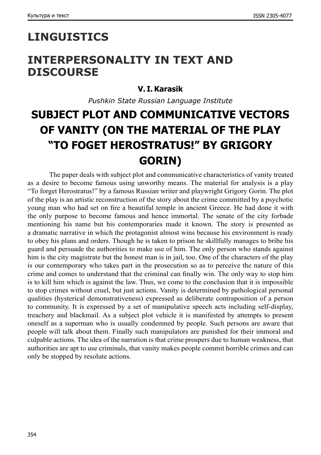### **LINGUISTICS**

### **INTERPERSONALITY IN TEXT AND DISCOURSE**

### **V. I.Karasik**

*Pushkin State Russian Language Institute*

# **SUBJECT PLOT AND COMMUNICATIVE VECTORS OF VANITY (ON THE MATERIAL OF THE PLAY "TO FOGET HEROSTRATUS!" BY GRIGORY GORIN)**

The paper deals with subject plot and communicative characteristics of vanity treated as a desire to become famous using unworthy means. The material for analysis is a play "To forget Herostratus!" by a famous Russian writer and playwright Grigory Gorin. The plot of the play is an artistic reconstruction of the story about the crime committed by a psychotic young man who had set on fire a beautiful temple in ancient Greece. He had done it with the only purpose to become famous and hence immortal. The senate of the city forbade mentioning his name but his contemporaries made it known. The story is presented as a dramatic narrative in which the protagonist almost wins because his environment is ready to obey his plans and orders. Though he is taken to prison he skillfully manages to bribe his guard and persuade the authorities to make use of him. The only person who stands against him is the city magistrate but the honest man is in jail, too. One of the characters of the play is our contemporary who takes part in the prosecution so as to perceive the nature of this crime and comes to understand that the criminal can finally win. The only way to stop him is to kill him which is against the law. Thus, we come to the conclusion that it is impossible to stop crimes without cruel, but just actions. Vanity is determined by pathological personal qualities (hysterical demonstrativeness) expressed as deliberate contraposition of a person to community. It is expressed by a set of manipulative speech acts including self-display, treachery and blackmail. As a subject plot vehicle it is manifested by attempts to present oneself as a superman who is usually condemned by people. Such persons are aware that people will talk about them. Finally such manipulators are punished for their immoral and culpable actions. The idea of the narration is that crime prospers due to human weakness, that authorities are apt to use criminals, that vanity makes people commit horrible crimes and can only be stopped by resolute actions.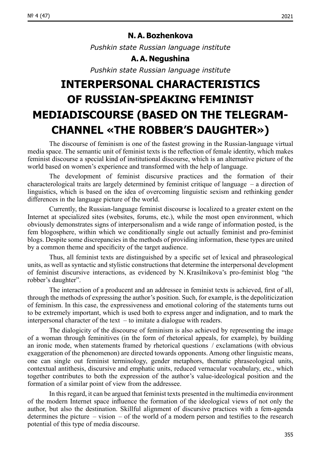*Pushkin state Russian language institute*

### **A.A. Negushina**

*Pushkin state Russian language institute*

# **INTERPERSONAL CHARACTERISTICS OF RUSSIAN-SPEAKING FEMINIST MEDIADISCOURSE (BASED ON THE TELEGRAM-CHANNEL «THE ROBBER'S DAUGHTER»)**

The discourse of feminism is one of the fastest growing in the Russian-language virtual media space. The semantic unit of feminist texts is the reflection of female identity, which makes feminist discourse a special kind of institutional discourse, which is an alternative picture of the world based on women's experience and transformed with the help of language.

The development of feminist discursive practices and the formation of their characterological traits are largely determined by feminist critique of language – a direction of linguistics, which is based on the idea of overcoming linguistic sexism and rethinking gender differences in the language picture of the world.

Currently, the Russian-language feminist discourse is localized to a greater extent on the Internet at specialized sites (websites, forums, etc.), while the most open environment, which obviously demonstrates signs of interpersonalism and a wide range of information posted, is the fem blogosphere, within which we conditionally single out actually feminist and pro-feminist blogs. Despite some discrepancies in the methods of providing information, these types are united by a common theme and specificity of the target audience.

Thus, all feminist texts are distinguished by a specific set of lexical and phraseological units, as well as syntactic and stylistic constructions that determine the interpersonal development of feminist discursive interactions, as evidenced by N. Krasilnikova's pro-feminist blog "the robber's daughter".

The interaction of a producent and an addressee in feminist texts is achieved, first of all, through the methods of expressing the author's position. Such, for example, is the depoliticization of feminism. In this case, the expressiveness and emotional coloring of the statements turns out to be extremely important, which is used both to express anger and indignation, and to mark the interpersonal character of the text – to imitate a dialogue with readers.

The dialogicity of the discourse of feminism is also achieved by representing the image of a woman through feminitives (in the form of rhetorical appeals, for example), by building an ironic mode, when statements framed by rhetorical questions / exclamations (with obvious exaggeration of the phenomenon) are directed towards opponents. Among other linguistic means, one can single out feminist terminology, gender metaphors, thematic phraseological units, contextual antithesis, discursive and emphatic units, reduced vernacular vocabulary, etc., which together contributes to both the expression of the author's value-ideological position and the formation of a similar point of view from the addressee.

In this regard, it can be argued that feminist texts presented in the multimedia environment of the modern Internet space influence the formation of the ideological views of not only the author, but also the destination. Skillful alignment of discursive practices with a fem-agenda determines the picture – vision – of the world of a modern person and testifies to the research potential of this type of media discourse.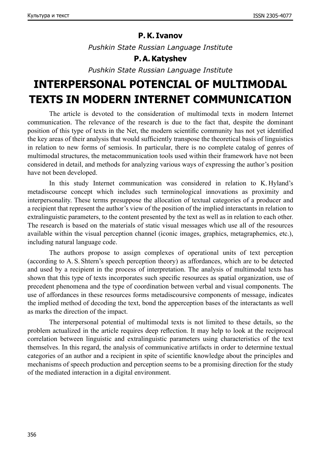### **P.K. Ivanov**

*Pushkin State Russian Language Institute*

### **P.A.Katyshev**

*Pushkin State Russian Language Institute*

# **INTERPERSONAL POTENCIAL OF MULTIMODAL TEXTS IN MODERN INTERNET COMMUNICATION**

The article is devoted to the consideration of multimodal texts in modern Internet communication. The relevance of the research is due to the fact that, despite the dominant position of this type of texts in the Net, the modern scientific community has not yet identified the key areas of their analysis that would sufficiently transpose the theoretical basis of linguistics in relation to new forms of semiosis. In particular, there is no complete catalog of genres of multimodal structures, the metacommunication tools used within their framework have not been considered in detail, and methods for analyzing various ways of expressing the author's position have not been developed.

In this study Internet communication was considered in relation to K. Hyland's metadiscourse concept which includes such terminological innovations as proximity and interpersonality. These terms presuppose the allocation of textual categories of a producer and a recipient that represent the author's view of the position of the implied interactants in relation to extralinguistic parameters, to the content presented by the text as well as in relation to each other. The research is based on the materials of static visual messages which use all of the resources available within the visual perception channel (iconic images, graphics, metagraphemics, etc.), including natural language code.

The authors propose to assign complexes of operational units of text perception (according to A. S. Shtern's speech perception theory) as affordances, which are to be detected and used by a recipient in the process of interpretation. The analysis of multimodal texts has shown that this type of texts incorporates such specific resources as spatial organization, use of precedent phenomena and the type of coordination between verbal and visual components. The use of affordances in these resources forms metadiscoursive components of message, indicates the implied method of decoding the text, bond the apperception bases of the interactants as well as marks the direction of the impact.

The interpersonal potential of multimodal texts is not limited to these details, so the problem actualized in the article requires deep reflection. It may help to look at the reciprocal correlation between linguistic and extralinguistic parameters using characteristics of the text themselves. In this regard, the analysis of communicative artifacts in order to determine textual categories of an author and a recipient in spite of scientific knowledge about the principles and mechanisms of speech production and perception seems to be a promising direction for the study of the mediated interaction in a digital environment.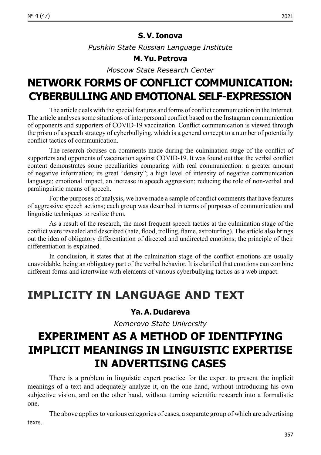#### **S.V. Ionova**

*Рushkin State Russian Language Institute*

#### **M.Yu. Petrova**

*Moscow State Research Center*

### **NETWORK FORMS OF CONFLICT COMMUNICATION: CYBERBULLING AND EMOTIONAL SELF-EXPRESSION**

The article deals with the special features and forms of conflict communication in the Internet. Thе article analyses some situations of interpersonal conflict based on the Instagram communication of opponents and supporters of COVID‑19 vaccination. Conflict communication is viewed through the prism of a speech strategy of cyberbullying, which is a general concept to a number of potentially conflict tactics of communication.

The research focuses on comments made during the culmination stage of the conflict of supporters and opponents of vaccination against COVID-19. It was found out that the verbal conflict content demonstrates some peculiarities comparing with real communication: a greater amount of negative information; its great "density"; a high level of intensity of negative communication language; emotional impact, an increase in speech aggression; reducing the role of non-verbal and paralinguistic means of speech.

For the purposes of analysis, we have made a sample of conflict comments that have features of aggressive speech actions; each group was described in terms of purposes of communication and linguistic techniques to realize them.

As a result of the research, the most frequent speech tactics at the culmination stage of the conflict were revealed and described (hate, flood, trolling, flame, astroturfing). The article also brings out the idea of obligatory differentiation of directed and undirected emotions; the principle of their differentiation is explained.

In conclusion, it states that at the culmination stage of the conflict emotions are usually unavoidable, being an obligatory part of the verbal behavior. It is clarified that emotions can combine different forms and intertwine with elements of various cyberbullying tactics as a web impact.

### **IMPLICITY IN LANGUAGE AND TEXT**

### **Ya.A. Dudareva**

*Kemerovo State University*

## **EXPERIMENT AS A METHOD OF IDENTIFYING IMPLICIT MEANINGS IN LINGUISTIC EXPERTISE IN ADVERTISING CASES**

There is a problem in linguistic expert practice for the expert to present the implicit meanings of a text and adequately analyze it, on the one hand, without introducing his own subjective vision, and on the other hand, without turning scientific research into a formalistic one.

The above applies to various categories of cases, a separate group of which are advertising texts.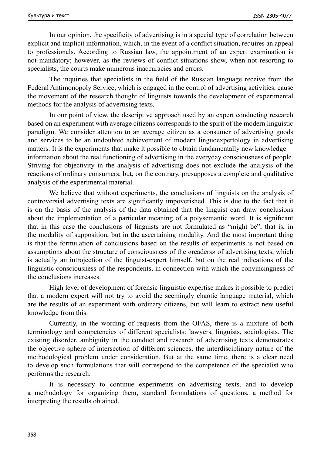In our opinion, the specificity of advertising is in a special type of correlation between explicit and implicit information, which, in the event of a conflict situation, requires an appeal to professionals. According to Russian law, the appointment of an expert examination is not mandatory; however, as the reviews of conflict situations show, when not resorting to specialists, the courts make numerous inaccuracies and errors.

The inquiries that specialists in the field of the Russian language receive from the Federal Antimonopoly Service, which is engaged in the control of advertising activities, cause the movement of the research thought of linguists towards the development of experimental methods for the analysis of advertising texts.

In our point of view, the descriptive approach used by an expert conducting research based on an experiment with average citizens corresponds to the spirit of the modern linguistic paradigm. We consider attention to an average citizen as a consumer of advertising goods and services to be an undoubted achievement of modern linguoexpertology in advertising matters. It is the experiments that make it possible to obtain fundamentally new knowledge  $$ information about the real functioning of advertising in the everyday consciousness of people. Striving for objectivity in the analysis of advertising does not exclude the analysis of the reactions of ordinary consumers, but, on the contrary, presupposes a complete and qualitative analysis of the experimental material.

We believe that without experiments, the conclusions of linguists on the analysis of controversial advertising texts are significantly impoverished. This is due to the fact that it is on the basis of the analysis of the data obtained that the linguist can draw conclusions about the implementation of a particular meaning of a polysemantic word. It is significant that in this case the conclusions of linguists are not formulated as "might be", that is, in the modality of supposition, but in the ascertaining modality. And the most important thing is that the formulation of conclusions based on the results of experiments is not based on assumptions about the structure of consciousness of the «readers» of advertising texts, which is actually an introjection of the linguist-expert himself, but on the real indications of the linguistic consciousness of the respondents, in connection with which the convincingness of the conclusions increases.

High level of development of forensic linguistic expertise makes it possible to predict that a modern expert will not try to avoid the seemingly chaotic language material, which are the results of an experiment with ordinary citizens, but will learn to extract new useful knowledge from this.

Currently, in the wording of requests from the OFAS, there is a mixture of both terminology and competencies of different specialists: lawyers, linguists, sociologists. The existing disorder, ambiguity in the conduct and research of advertising texts demonstrates the objective sphere of intersection of different sciences, the interdisciplinary nature of the methodological problem under consideration. But at the same time, there is a clear need to develop such formulations that will correspond to the competence of the specialist who performs the research.

It is necessary to continue experiments on advertising texts, and to develop a methodology for organizing them, standard formulations of questions, a method for interpreting the results obtained.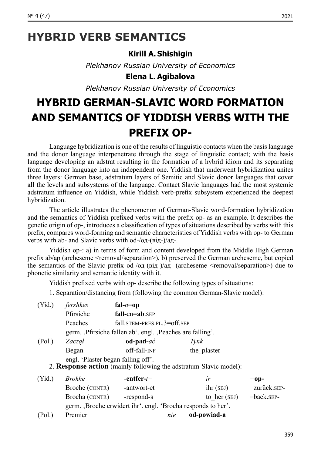### **HYBRID VERB SEMANTICS**

### **Kirill A. Shishigin**

*Plekhanov Russian University of Economics*

### **Elena L.Agibalova**

*Plekhanov Russian University of Economics*

# **HYBRID GERMAN-SLAVIC WORD FORMATION AND SEMANTICS OF YIDDISH VERBS WITH THE PREFIX OP-**

Language hybridization is one of the results of linguistic contacts when the basis language and the donor language interpenetrate through the stage of linguistic contact; with the basis language developing an adstrat resulting in the formation of a hybrid idiom and its separating from the donor language into an independent one. Yiddish that underwent hybridization unites three layers: German base, adstratum layers of Semitic and Slavic donor languages that cover all the levels and subsystems of the language. Contact Slavic languages had the most systemic adstratum influence on Yiddish, while Yiddish verb-prefix subsystem experienced the deepest hybridization.

The article illustrates the phenomenon of German-Slavic word-formation hybridization and the semantics of Yiddish prefixed verbs with the prefix op- as an example. It describes the genetic origin of op-, introduces a classification of types of situations described by verbs with this prefix, compares word-forming and semantic characteristics of Yiddish verbs with op- to German verbs with ab- and Slavic verbs with  $od$ - $(\alpha\pi$ - $(\beta\pi)$ - $(\alpha\pi$ -

Yiddish op-: а) in terms of form and content developed from the Middle High German prefix ab/ap (archeseme <removal/separation>), b) preserved the German archeseme, but copied the semantics of the Slavic prefix od-/од-(від-)/ад- (archeseme <removal/separation>) due to phonetic similarity and semantic identity with it.

Yiddish prefixed verbs with op- describe the following types of situations:

1. Separation/distancing from (following the common German-Slavic model):

| (Yid.)                                                                                                  | fershkes                                                    | fal- $n =$ op                                               |     |                |                 |  |  |  |  |
|---------------------------------------------------------------------------------------------------------|-------------------------------------------------------------|-------------------------------------------------------------|-----|----------------|-----------------|--|--|--|--|
|                                                                                                         | Pfirsiche                                                   | $fall-en=ab$ . SEP                                          |     |                |                 |  |  |  |  |
|                                                                                                         | Peaches                                                     | fall.STEM-PRES.PL.3=off.SEP                                 |     |                |                 |  |  |  |  |
|                                                                                                         | germ. , Pfirsiche fallen ab'. engl. , Peaches are falling'. |                                                             |     |                |                 |  |  |  |  |
| (Pol.)                                                                                                  | Zaczał                                                      | $od$ -pad- $ac$                                             |     | Tvnk           |                 |  |  |  |  |
|                                                                                                         | Began                                                       | off-fall-INF                                                |     | the plaster    |                 |  |  |  |  |
| engl. 'Plaster began falling off'.<br>2. Response action (mainly following the adstratum-Slavic model): |                                                             |                                                             |     |                |                 |  |  |  |  |
| (Yid.)                                                                                                  | <b>Brokhe</b>                                               | -entfer- $t=$                                               |     | ir             | $=$ op-         |  |  |  |  |
|                                                                                                         | Broche (CONTR)                                              | -antwort-et=                                                |     | $i$ hr $(SBJ)$ | $=$ zurück SEP- |  |  |  |  |
|                                                                                                         | Brocha (CONTR)                                              | -respond-s                                                  |     | to her $(SBJ)$ | $=$ back SEP-   |  |  |  |  |
|                                                                                                         |                                                             | germ. Broche erwidert ihr'. engl. 'Brocha responds to her'. |     |                |                 |  |  |  |  |
| (Pol.)                                                                                                  | Premier                                                     |                                                             | nie | od-powiad-a    |                 |  |  |  |  |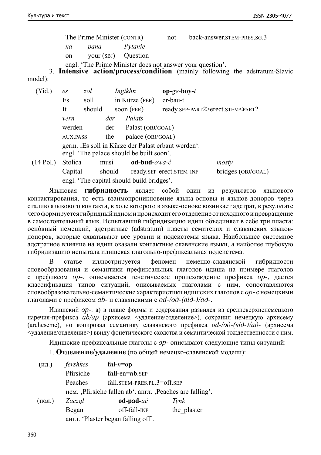The Prime Minister (CONTR) not back-answer.stem-pres.sg.3

*на pana Pytanie*

on vour (SBJ) Ouestion

engl. 'The Prime Minister does not answer your question'.

3. **Intensive action/process/condition** (mainly following the adstratum-Slavic model):

| (Yid.)      | es                                                                                           | zol    |      | Ingikhn           | $op-ge-boy-t$                                               |  |
|-------------|----------------------------------------------------------------------------------------------|--------|------|-------------------|-------------------------------------------------------------|--|
|             | Es                                                                                           | soll   |      | in Kürze (PER)    | er-bau-t                                                    |  |
|             | It                                                                                           | should |      | soon $(PER)$      | ready.SEP-PART2>erect.STEM <part2< td=""><td></td></part2<> |  |
|             | vern                                                                                         |        | der  | Palats            |                                                             |  |
|             | werden                                                                                       |        | der  | Palast (OBJ/GOAL) |                                                             |  |
|             | <b>AUX.PASS</b>                                                                              |        | the  | palace (OBJ/GOAL) |                                                             |  |
|             | germ. Es soll in Kürze der Palast erbaut werden.<br>engl. 'The palace should be built soon'. |        |      |                   |                                                             |  |
| $(14$ Pol.) | Stolica                                                                                      |        | musi | od-bud-owa-ć      | mosty                                                       |  |

Capital should ready.sep-erect.stem-inf bridges (obj/goal) engl. 'The capital should build bridges'. Языковая **гибридность** являет собой один из результатов языкового

контактирования, то есть взаимопроникновение языка-основы и языков-доноров через стадию языкового контакта, в ходе которого в языке-основе возникает адстрат, в результате чего формируется гибридный идиом ипроисходит его отделение от исходного ипревращение в самостоятельный язык. Испытавший гибридизацию идиш объединяет в себе три пласта: осно́ вный немецкий, адстратные (adstratum) пласты семитских и славянских языковдоноров, которые охватывают все уровни и подсистемы языка. Наибольшее системное адстратное влияние на идиш оказали контактные славянские языки, а наиболее глубокую гибридизацию испытала идишская глагольно-префиксальная подсистема.

В статье иллюстрируется феномен немецко-славянской гибридности словообразования и семантики префиксальных глаголов идиша на примере глаголов с префиксом *op-*, описывается генетическое происхождение префикса *op-*, дается классификация типов ситуаций, описываемых глаголами с ним, сопоставляются словообразовательно-семантические характеристики идишских глаголов с *op-* с немецкими глаголами с префиксом *ab-* и славянскими с *od-/од-(від-)/ад-*.

Идишский *op-*: а) в плане формы и содержания развился из средневерхненемецкого наречия-префикса *ab/ap* (архисема <удаление/отделение>), сохранил немецкую архисему (archeseme), но копировал семантику славянского префикса *od-/од-(від-)/ад-* (архисема <удаление/отделение>) ввиду фонетического сходства и семантической тождественности с ним.

Идишские префиксальные глаголы с *op-* описывают следующие типы ситуаций:

1. **Отделение/удаление** (по общей немецко-славянской модели):

| (M <sub>4</sub> )                                       | fershkes                           | fal- $n =$ op               |             |  |  |  |
|---------------------------------------------------------|------------------------------------|-----------------------------|-------------|--|--|--|
|                                                         | Pfirsiche                          | $fall-en=ab.sEP$            |             |  |  |  |
|                                                         | Peaches                            | fall.STEM-PRES.PL.3=off.SEP |             |  |  |  |
| нем. Pfirsiche fallen ab '. англ. Peaches are falling'. |                                    |                             |             |  |  |  |
| $($ пол. $)$                                            | Zaczał                             | $od$ -pad- $ac$             | Tynk        |  |  |  |
|                                                         | Began                              | off-fall-INF                | the plaster |  |  |  |
|                                                         | англ. 'Plaster began falling off'. |                             |             |  |  |  |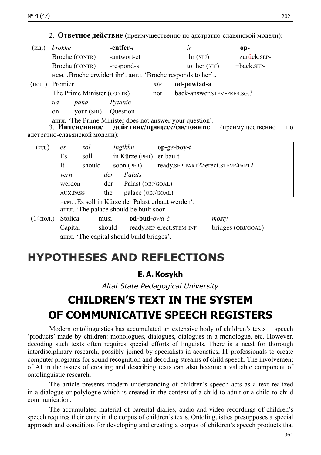2. **Ответное действие** (преимущественно по адстратно-славянской модели):

| (H <sub>Д.</sub> )                       | brokhe |                                           |                                                                       | -entfer- $t=$                   |                                   | ir                                                                                       |                | $=$ op-             |    |
|------------------------------------------|--------|-------------------------------------------|-----------------------------------------------------------------------|---------------------------------|-----------------------------------|------------------------------------------------------------------------------------------|----------------|---------------------|----|
|                                          |        | Broche (CONTR) -antwort-et=               |                                                                       |                                 |                                   |                                                                                          | ihr(SBJ)       | $=$ zurück.s $E$ P- |    |
|                                          |        | Brocha (CONTR)                            |                                                                       | -respond-s                      |                                   |                                                                                          | to her $(SBJ)$ | $=$ back.s $E$ P-   |    |
|                                          |        |                                           |                                                                       |                                 |                                   | нем. Broche erwidert ihr <sup>o</sup> . англ. 'Broche responds to her'                   |                |                     |    |
| Premier<br>$(\text{пол.})$               |        |                                           | od-powiad-a<br>nie                                                    |                                 |                                   |                                                                                          |                |                     |    |
|                                          |        | The Prime Minister (CONTR)                |                                                                       |                                 | back-answer.STEM-PRES.SG.3<br>not |                                                                                          |                |                     |    |
|                                          | на     | pana                                      | Pytanie                                                               |                                 |                                   |                                                                                          |                |                     |    |
|                                          | on     | your (SBJ) Question                       |                                                                       |                                 |                                   |                                                                                          |                |                     |    |
|                                          |        |                                           |                                                                       |                                 |                                   | англ. 'The Prime Minister does not answer your question'.                                |                |                     |    |
|                                          |        |                                           |                                                                       |                                 |                                   | 3. Интенсивное действие/процесс/состояние                                                |                | (преимущественно    | по |
|                                          |        | адстратно-славянской модели):             |                                                                       |                                 |                                   |                                                                                          |                |                     |    |
| (M <sub>Д.</sub> )                       | es     | zol                                       |                                                                       | Ingikhn <b>op-ge-boy-t</b>      |                                   |                                                                                          |                |                     |    |
|                                          | Es     | soll                                      |                                                                       | in Kürze (PER) er-bau-t         |                                   |                                                                                          |                |                     |    |
|                                          | It     | should                                    |                                                                       |                                 |                                   | soon (PER) ready.SEP-PART2>erect.STEM <part2< td=""><td></td><td></td><td></td></part2<> |                |                     |    |
|                                          | vern   |                                           |                                                                       | der Palats                      |                                   |                                                                                          |                |                     |    |
|                                          |        | werden                                    |                                                                       | $der$ Palast (OBJ/GOAL)         |                                   |                                                                                          |                |                     |    |
|                                          |        | <b>AUX.PASS</b>                           | the                                                                   |                                 |                                   |                                                                                          |                |                     |    |
|                                          |        |                                           | palace (OBJ/GOAL)<br>нем. Es soll in Kürze der Palast erbaut werden". |                                 |                                   |                                                                                          |                |                     |    |
| англ. 'The palace should be built soon'. |        |                                           |                                                                       |                                 |                                   |                                                                                          |                |                     |    |
| $(14$ пол.)                              |        | Stolica                                   | musi                                                                  | $odd$ -bud-owa- $\acute{c}$     |                                   |                                                                                          | mosty          |                     |    |
|                                          |        | Capital                                   |                                                                       | should ready.SEP-erect.STEM-INF |                                   |                                                                                          |                | bridges (OBJ/GOAL)  |    |
|                                          |        | англ. 'The capital should build bridges'. |                                                                       |                                 |                                   |                                                                                          |                |                     |    |

### **HYPOTHESES AND REFLECTIONS**

### **E.A.Kosykh**

*Altai State Pedagogical University*

# **CHILDREN'S TEXT IN THE SYSTEM OF COMMUNICATIVE SPEECH REGISTERS**

Modern ontolinguistics has accumulated an extensive body of children's texts – speech 'products' made by children: monologues, dialogues, dialogues in a monologue, etc. However, decoding such texts often requires special efforts of linguists. There is a need for thorough interdisciplinary research, possibly joined by specialists in acoustics, IT professionals to create computer programs for sound recognition and decoding streams of child speech. The involvement of AI in the issues of creating and describing texts can also become a valuable component of ontolinguistic research.

The article presents modern understanding of children's speech acts as a text realized in a dialogue or polylogue which is created in the context of a child-to-adult or a child-to-child communication.

The accumulated material of parental diaries, audio and video recordings of children's speech requires their entry in the corpus of children's texts. Ontolinguistics presupposes a special approach and conditions for developing and creating a corpus of children's speech products that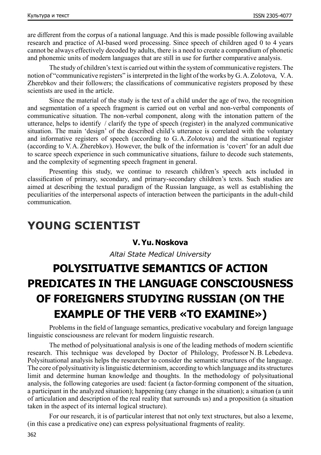are different from the corpus of a national language. And this is made possible following available research and practice of AI-based word processing. Since speech of children aged 0 to 4 years cannot be always effectively decoded by adults, there is a need to create a compendium of phonetic and phonemic units of modern languages that are still in use for further comparative analysis.

The study of children's text is carried out within the system of communicative registers. The notion of "communicative registers" is interpreted in the light of the works by G.A. Zolotova, V.A. Zherebkov and their followers; the classifications of communicative registers proposed by these scientists are used in the article.

Since the material of the study is the text of a child under the age of two, the recognition and segmentation of a speech fragment is carried out on verbal and non-verbal components of communicative situation. The non-verbal component, along with the intonation pattern of the utterance, helps to identify / clarify the type of speech (register) in the analyzed communicative situation. The main 'design' of the described child's utterance is correlated with the voluntary and informative registers of speech (according to G.A. Zolotova) and the situational register (according to V.A. Zherebkov). However, the bulk of the information is 'covert' for an adult due to scarce speech experience in such communicative situations, failure to decode such statements, and the complexity of segmenting speech fragment in general.

Presenting this study, we continue to research children's speech acts included in classification of primary, secondary, and primary-secondary children's texts. Such studies are aimed at describing the textual paradigm of the Russian language, as well as establishing the peculiarities of the interpersonal aspects of interaction between the participants in the adult-child communication.

### **YOUNG SCIENTIST**

### **V.Yu. Noskova**

*Altai State Medical University*

# **POLYSITUATIVE SEMANTICS OF ACTION PREDICATES IN THE LANGUAGE CONSCIOUSNESS OF FOREIGNERS STUDYING RUSSIAN (ON THE EXAMPLE OF THE VERB «TO EXAMINE»)**

Problems in the field of language semantics, predicative vocabulary and foreign language linguistic consciousness are relevant for modern linguistic research.

The method of polysituational analysis is one of the leading methods of modern scientific research. This technique was developed by Doctor of Philology, Professor N. B. Lebedeva. Polysituational analysis helps the researcher to consider the semantic structures of the language. The core of polysituativity is linguistic determinism, according to which language and its structures limit and determine human knowledge and thoughts. In the methodology of polysituational analysis, the following categories are used: facient (a factor-forming component of the situation, a participant in the analyzed situation); happening (any change in the situation); a situation (a unit of articulation and description of the real reality that surrounds us) and a proposition (a situation taken in the aspect of its internal logical structure).

For our research, it is of particular interest that not only text structures, but also a lexeme, (in this case a predicative one) can express polysituational fragments of reality.